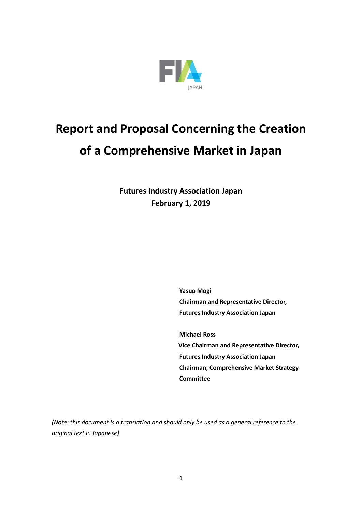

# **Report and Proposal Concerning the Creation of a Comprehensive Market in Japan**

**Futures Industry Association Japan February 1, 2019**

> **Yasuo Mogi Chairman and Representative Director, Futures Industry Association Japan**

**Michael Ross Vice Chairman and Representative Director, Futures Industry Association Japan Chairman, Comprehensive Market Strategy Committee**

*(Note: this document is a translation and should only be used as a general reference to the original text in Japanese)*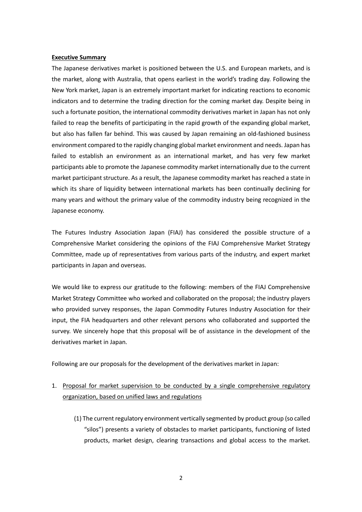#### **Executive Summary**

The Japanese derivatives market is positioned between the U.S. and European markets, and is the market, along with Australia, that opens earliest in the world's trading day. Following the New York market, Japan is an extremely important market for indicating reactions to economic indicators and to determine the trading direction for the coming market day. Despite being in such a fortunate position, the international commodity derivatives market in Japan has not only failed to reap the benefits of participating in the rapid growth of the expanding global market, but also has fallen far behind. This was caused by Japan remaining an old-fashioned business environment compared to the rapidly changing global market environment and needs. Japan has failed to establish an environment as an international market, and has very few market participants able to promote the Japanese commodity market internationally due to the current market participant structure. As a result, the Japanese commodity market has reached a state in which its share of liquidity between international markets has been continually declining for many years and without the primary value of the commodity industry being recognized in the Japanese economy.

The Futures Industry Association Japan (FIAJ) has considered the possible structure of a Comprehensive Market considering the opinions of the FIAJ Comprehensive Market Strategy Committee, made up of representatives from various parts of the industry, and expert market participants in Japan and overseas.

We would like to express our gratitude to the following: members of the FIAJ Comprehensive Market Strategy Committee who worked and collaborated on the proposal; the industry players who provided survey responses, the Japan Commodity Futures Industry Association for their input, the FIA headquarters and other relevant persons who collaborated and supported the survey. We sincerely hope that this proposal will be of assistance in the development of the derivatives market in Japan.

Following are our proposals for the development of the derivatives market in Japan:

# 1. Proposal for market supervision to be conducted by a single comprehensive regulatory organization, based on unified laws and regulations

(1) The current regulatory environment vertically segmented by product group (so called "silos") presents a variety of obstacles to market participants, functioning of listed products, market design, clearing transactions and global access to the market.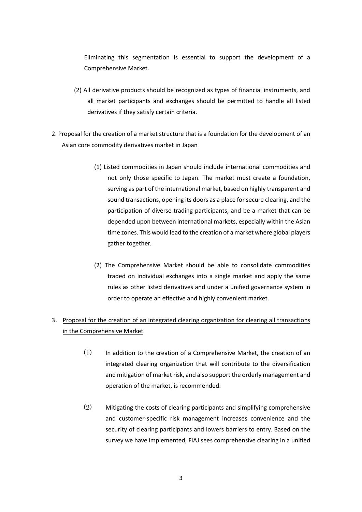Eliminating this segmentation is essential to support the development of a Comprehensive Market.

(2) All derivative products should be recognized as types of financial instruments, and all market participants and exchanges should be permitted to handle all listed derivatives if they satisfy certain criteria.

# 2. Proposal for the creation of a market structure that is a foundation for the development of an Asian core commodity derivatives market in Japan

- (1) Listed commodities in Japan should include international commodities and not only those specific to Japan. The market must create a foundation, serving as part of the international market, based on highly transparent and sound transactions, opening its doors as a place for secure clearing, and the participation of diverse trading participants, and be a market that can be depended upon between international markets, especially within the Asian time zones. This would lead to the creation of a market where global players gather together.
- (2) The Comprehensive Market should be able to consolidate commodities traded on individual exchanges into a single market and apply the same rules as other listed derivatives and under a unified governance system in order to operate an effective and highly convenient market.

# 3. Proposal for the creation of an integrated clearing organization for clearing all transactions in the Comprehensive Market

- (1) In addition to the creation of a Comprehensive Market, the creation of an integrated clearing organization that will contribute to the diversification and mitigation of market risk, and also support the orderly management and operation of the market, is recommended.
- (2) Mitigating the costs of clearing participants and simplifying comprehensive and customer-specific risk management increases convenience and the security of clearing participants and lowers barriers to entry. Based on the survey we have implemented, FIAJ sees comprehensive clearing in a unified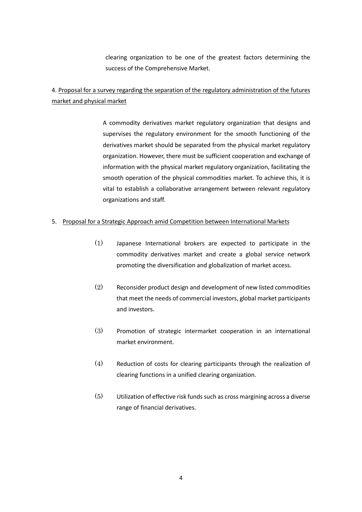clearing organization to be one of the greatest factors determining the success of the Comprehensive Market.

# 4. Proposal for a survey regarding the separation of the regulatory administration of the futures market and physical market

A commodity derivatives market regulatory organization that designs and supervises the regulatory environment for the smooth functioning of the derivatives market should be separated from the physical market regulatory organization. However, there must be sufficient cooperation and exchange of information with the physical market regulatory organization, facilitating the smooth operation of the physical commodities market. To achieve this, it is vital to establish a collaborative arrangement between relevant regulatory organizations and staff.

# 5. Proposal for a Strategic Approach amid Competition between International Markets

- (1) Japanese International brokers are expected to participate in the commodity derivatives market and create a global service network promoting the diversification and globalization of market access.
- (2) Reconsider product design and development of new listed commodities that meet the needs of commercial investors, global market participants and investors.
- (3) Promotion of strategic intermarket cooperation in an international market environment.
- (4) Reduction of costs for clearing participants through the realization of clearing functions in a unified clearing organization.
- $(5)$  Utilization of effective risk funds such as cross margining across a diverse range of financial derivatives.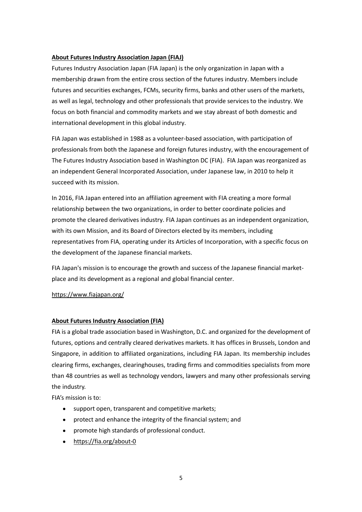# **About Futures Industry Association Japan (FIAJ)**

Futures Industry Association Japan (FIA Japan) is the only organization in Japan with a membership drawn from the entire cross section of the futures industry. Members include futures and securities exchanges, FCMs, security firms, banks and other users of the markets, as well as legal, technology and other professionals that provide services to the industry. We focus on both financial and commodity markets and we stay abreast of both domestic and international development in this global industry.

FIA Japan was established in 1988 as a volunteer-based association, with participation of professionals from both the Japanese and foreign futures industry, with the encouragement of The Futures Industry Association based in Washington DC (FIA). FIA Japan was reorganized as an independent General Incorporated Association, under Japanese law, in 2010 to help it succeed with its mission.

In 2016, FIA Japan entered into an affiliation agreement with FIA creating a more formal relationship between the two organizations, in order to better coordinate policies and promote the cleared derivatives industry. FIA Japan continues as an independent organization, with its own Mission, and its Board of Directors elected by its members, including representatives from FIA, operating under its Articles of Incorporation, with a specific focus on the development of the Japanese financial markets.

FIA Japan's mission is to encourage the growth and success of the Japanese financial marketplace and its development as a regional and global financial center.

# https://www.fiajapan.org/

# **About Futures Industry Association (FIA)**

FIA is a global trade association based in Washington, D.C. and organized for the development of futures, options and centrally cleared derivatives markets. It has offices in Brussels, London and Singapore, in addition to affiliated organizations, including FIA Japan. Its membership includes clearing firms, exchanges, clearinghouses, trading firms and commodities specialists from more than 48 countries as well as technology vendors, lawyers and many other professionals serving the industry.

FIA's mission is to:

- support open, transparent and competitive markets;
- protect and enhance the integrity of the financial system; and
- promote high standards of professional conduct.
- https://fia.org/about-0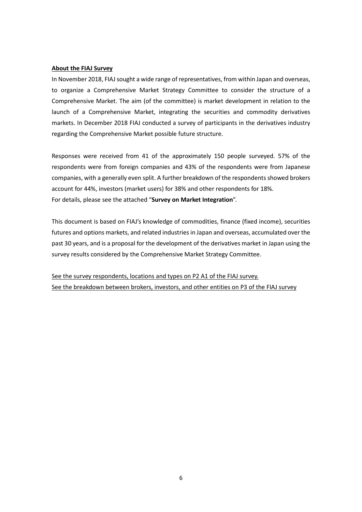#### **About the FIAJ Survey**

In November 2018, FIAJ sought a wide range of representatives, from within Japan and overseas, to organize a Comprehensive Market Strategy Committee to consider the structure of a Comprehensive Market. The aim (of the committee) is market development in relation to the launch of a Comprehensive Market, integrating the securities and commodity derivatives markets. In December 2018 FIAJ conducted a survey of participants in the derivatives industry regarding the Comprehensive Market possible future structure.

Responses were received from 41 of the approximately 150 people surveyed. 57% of the respondents were from foreign companies and 43% of the respondents were from Japanese companies, with a generally even split. A further breakdown of the respondents showed brokers account for 44%, investors (market users) for 38% and other respondents for 18%. For details, please see the attached "**Survey on Market Integration**".

This document is based on FIAJ's knowledge of commodities, finance (fixed income), securities futures and options markets, and related industriesin Japan and overseas, accumulated over the past 30 years, and is a proposal for the development of the derivatives market in Japan using the survey results considered by the Comprehensive Market Strategy Committee.

See the survey respondents, locations and types on P2 A1 of the FIAJ survey. See the breakdown between brokers, investors, and other entities on P3 of the FIAJ survey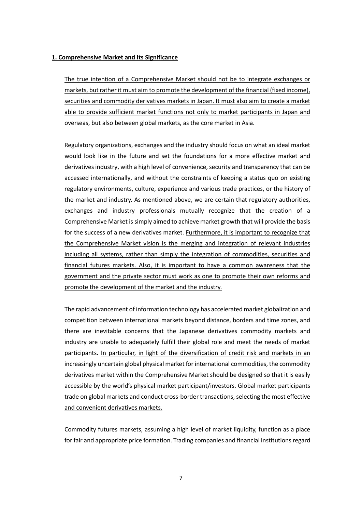### **1. Comprehensive Market and Its Significance**

The true intention of a Comprehensive Market should not be to integrate exchanges or markets, but rather it must aim to promote the development of the financial (fixed income), securities and commodity derivatives markets in Japan. It must also aim to create a market able to provide sufficient market functions not only to market participants in Japan and overseas, but also between global markets, as the core market in Asia.

Regulatory organizations, exchanges and the industry should focus on what an ideal market would look like in the future and set the foundations for a more effective market and derivatives industry, with a high level of convenience, security and transparency that can be accessed internationally, and without the constraints of keeping a status quo on existing regulatory environments, culture, experience and various trade practices, or the history of the market and industry. As mentioned above, we are certain that regulatory authorities, exchanges and industry professionals mutually recognize that the creation of a Comprehensive Market is simply aimed to achieve market growth that will provide the basis for the success of a new derivatives market. Furthermore, it is important to recognize that the Comprehensive Market vision is the merging and integration of relevant industries including all systems, rather than simply the integration of commodities, securities and financial futures markets. Also, it is important to have a common awareness that the government and the private sector must work as one to promote their own reforms and promote the development of the market and the industry.

The rapid advancement of information technology has accelerated market globalization and competition between international markets beyond distance, borders and time zones, and there are inevitable concerns that the Japanese derivatives commodity markets and industry are unable to adequately fulfill their global role and meet the needs of market participants. In particular, in light of the diversification of credit risk and markets in an increasingly uncertain global physical market for international commodities, the commodity derivatives market within the Comprehensive Market should be designed so that it is easily accessible by the world's physical market participant/investors. Global market participants trade on global markets and conduct cross-border transactions, selecting the most effective and convenient derivatives markets.

Commodity futures markets, assuming a high level of market liquidity, function as a place for fair and appropriate price formation. Trading companies and financial institutions regard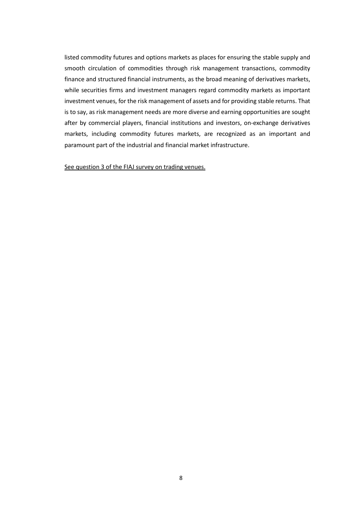listed commodity futures and options markets as places for ensuring the stable supply and smooth circulation of commodities through risk management transactions, commodity finance and structured financial instruments, as the broad meaning of derivatives markets, while securities firms and investment managers regard commodity markets as important investment venues, for the risk management of assets and for providing stable returns. That is to say, as risk management needs are more diverse and earning opportunities are sought after by commercial players, financial institutions and investors, on-exchange derivatives markets, including commodity futures markets, are recognized as an important and paramount part of the industrial and financial market infrastructure.

See question 3 of the FIAJ survey on trading venues.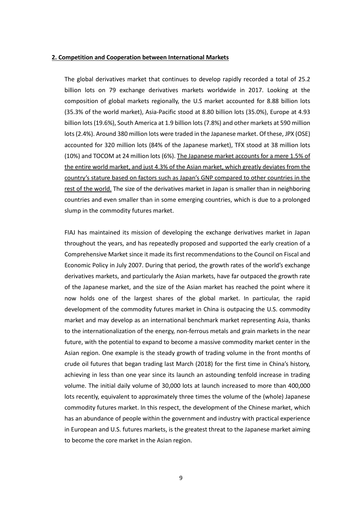#### **2. Competition and Cooperation between International Markets**

The global derivatives market that continues to develop rapidly recorded a total of 25.2 billion lots on 79 exchange derivatives markets worldwide in 2017. Looking at the composition of global markets regionally, the U.S market accounted for 8.88 billion lots (35.3% of the world market), Asia-Pacific stood at 8.80 billion lots (35.0%), Europe at 4.93 billion lots (19.6%), South America at 1.9 billion lots (7.8%) and other markets at 590 million lots (2.4%). Around 380 million lots were traded in the Japanese market. Of these, JPX (OSE) accounted for 320 million lots (84% of the Japanese market), TFX stood at 38 million lots (10%) and TOCOM at 24 million lots (6%). The Japanese market accounts for a mere 1.5% of the entire world market, and just 4.3% of the Asian market, which greatly deviates from the country's stature based on factors such as Japan's GNP compared to other countries in the rest of the world. The size of the derivatives market in Japan is smaller than in neighboring countries and even smaller than in some emerging countries, which is due to a prolonged slump in the commodity futures market.

FIAJ has maintained its mission of developing the exchange derivatives market in Japan throughout the years, and has repeatedly proposed and supported the early creation of a Comprehensive Market since it made its first recommendations to the Council on Fiscal and Economic Policy in July 2007. During that period, the growth rates of the world's exchange derivatives markets, and particularly the Asian markets, have far outpaced the growth rate of the Japanese market, and the size of the Asian market has reached the point where it now holds one of the largest shares of the global market. In particular, the rapid development of the commodity futures market in China is outpacing the U.S. commodity market and may develop as an international benchmark market representing Asia, thanks to the internationalization of the energy, non-ferrous metals and grain markets in the near future, with the potential to expand to become a massive commodity market center in the Asian region. One example is the steady growth of trading volume in the front months of crude oil futures that began trading last March (2018) for the first time in China's history, achieving in less than one year since its launch an astounding tenfold increase in trading volume. The initial daily volume of 30,000 lots at launch increased to more than 400,000 lots recently, equivalent to approximately three times the volume of the (whole) Japanese commodity futures market. In this respect, the development of the Chinese market, which has an abundance of people within the government and industry with practical experience in European and U.S. futures markets, is the greatest threat to the Japanese market aiming to become the core market in the Asian region.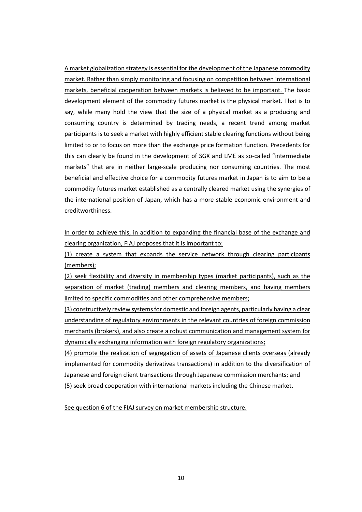A market globalization strategy is essential for the development of the Japanese commodity market. Rather than simply monitoring and focusing on competition between international markets, beneficial cooperation between markets is believed to be important. The basic development element of the commodity futures market is the physical market. That is to say, while many hold the view that the size of a physical market as a producing and consuming country is determined by trading needs, a recent trend among market participants is to seek a market with highly efficient stable clearing functions without being limited to or to focus on more than the exchange price formation function. Precedents for this can clearly be found in the development of SGX and LME as so-called "intermediate markets" that are in neither large-scale producing nor consuming countries. The most beneficial and effective choice for a commodity futures market in Japan is to aim to be a commodity futures market established as a centrally cleared market using the synergies of the international position of Japan, which has a more stable economic environment and creditworthiness.

In order to achieve this, in addition to expanding the financial base of the exchange and clearing organization, FIAJ proposes that it is important to:

(1) create a system that expands the service network through clearing participants (members);

(2) seek flexibility and diversity in membership types (market participants), such as the separation of market (trading) members and clearing members, and having members limited to specific commodities and other comprehensive members;

(3) constructively review systems for domestic and foreign agents, particularly having a clear understanding of regulatory environments in the relevant countries of foreign commission merchants (brokers), and also create a robust communication and management system for dynamically exchanging information with foreign regulatory organizations;

(4) promote the realization of segregation of assets of Japanese clients overseas (already implemented for commodity derivatives transactions) in addition to the diversification of Japanese and foreign client transactions through Japanese commission merchants; and (5) seek broad cooperation with international markets including the Chinese market.

See question 6 of the FIAJ survey on market membership structure.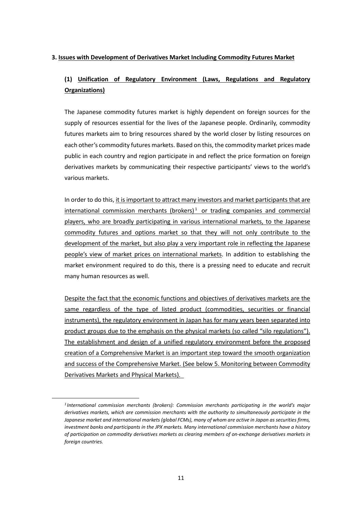# **3. Issues with Development of Derivatives Market Including Commodity Futures Market**

# **(1) Unification of Regulatory Environment (Laws, Regulations and Regulatory Organizations)**

The Japanese commodity futures market is highly dependent on foreign sources for the supply of resources essential for the lives of the Japanese people. Ordinarily, commodity futures markets aim to bring resources shared by the world closer by listing resources on each other's commodity futures markets. Based on this, the commodity market prices made public in each country and region participate in and reflect the price formation on foreign derivatives markets by communicating their respective participants' views to the world's various markets.

In order to do this, it is important to attract many investors and market participants that are international commission merchants (brokers) <sup>1</sup> or trading companies and commercial players, who are broadly participating in various international markets, to the Japanese commodity futures and options market so that they will not only contribute to the development of the market, but also play a very important role in reflecting the Japanese people's view of market prices on international markets. In addition to establishing the market environment required to do this, there is a pressing need to educate and recruit many human resources as well.

Despite the fact that the economic functions and objectives of derivatives markets are the same regardless of the type of listed product (commodities, securities or financial instruments), the regulatory environment in Japan has for many years been separated into product groups due to the emphasis on the physical markets (so called "silo regulations"). The establishment and design of a unified regulatory environment before the proposed creation of a Comprehensive Market is an important step toward the smooth organization and success of the Comprehensive Market. (See below 5. Monitoring between Commodity Derivatives Markets and Physical Markets).

*<sup>1</sup> International commission merchants (brokers): Commission merchants participating in the world's major derivatives markets, which are commission merchants with the authority to simultaneously participate in the* Japanese market and international markets (global FCMs), many of whom are active in Japan as securities firms, *investment banks and participants in the JPX markets. Many international commission merchants have a history of participation on commodity derivatives markets as clearing members of on-exchange derivatives markets in foreign countries.*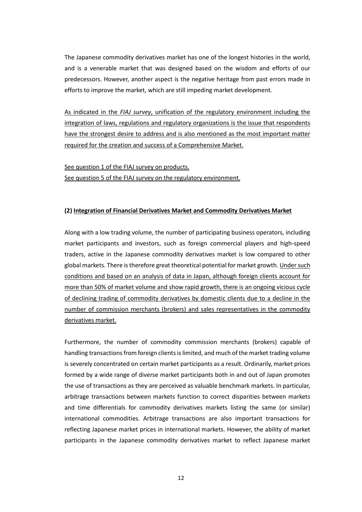The Japanese commodity derivatives market has one of the longest histories in the world, and is a venerable market that was designed based on the wisdom and efforts of our predecessors. However, another aspect is the negative heritage from past errors made in efforts to improve the market, which are still impeding market development.

As indicated in the *FIAJ survey*, unification of the regulatory environment including the integration of laws, regulations and regulatory organizations is the issue that respondents have the strongest desire to address and is also mentioned as the most important matter required for the creation and success of a Comprehensive Market.

See question 1 of the FIAJ survey on products. See question 5 of the FIAJ survey on the regulatory environment.

# **(2) Integration of Financial Derivatives Market and Commodity Derivatives Market**

Along with a low trading volume, the number of participating business operators, including market participants and investors, such as foreign commercial players and high-speed traders, active in the Japanese commodity derivatives market is low compared to other global markets. There is therefore great theoretical potential for market growth. Under such conditions and based on an analysis of data in Japan, although foreign clients account for more than 50% of market volume and show rapid growth, there is an ongoing vicious cycle of declining trading of commodity derivatives by domestic clients due to a decline in the number of commission merchants (brokers) and sales representatives in the commodity derivatives market.

Furthermore, the number of commodity commission merchants (brokers) capable of handling transactions from foreign clients is limited, and much of the market trading volume is severely concentrated on certain market participants as a result. Ordinarily, market prices formed by a wide range of diverse market participants both in and out of Japan promotes the use of transactions as they are perceived as valuable benchmark markets. In particular, arbitrage transactions between markets function to correct disparities between markets and time differentials for commodity derivatives markets listing the same (or similar) international commodities. Arbitrage transactions are also important transactions for reflecting Japanese market prices in international markets. However, the ability of market participants in the Japanese commodity derivatives market to reflect Japanese market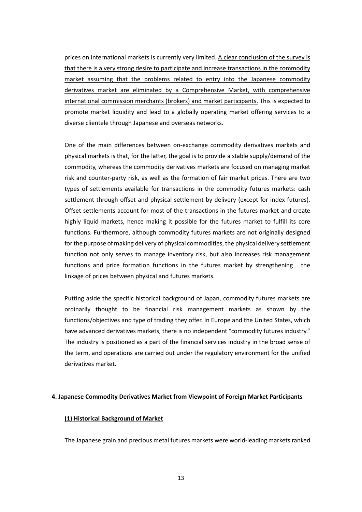prices on international markets is currently very limited. A clear conclusion of the survey is that there is a very strong desire to participate and increase transactions in the commodity market assuming that the problems related to entry into the Japanese commodity derivatives market are eliminated by a Comprehensive Market, with comprehensive international commission merchants (brokers) and market participants. This is expected to promote market liquidity and lead to a globally operating market offering services to a diverse clientele through Japanese and overseas networks.

One of the main differences between on-exchange commodity derivatives markets and physical markets is that, for the latter, the goal is to provide a stable supply/demand of the commodity, whereas the commodity derivatives markets are focused on managing market risk and counter-party risk, as well as the formation of fair market prices. There are two types of settlements available for transactions in the commodity futures markets: cash settlement through offset and physical settlement by delivery (except for index futures). Offset settlements account for most of the transactions in the futures market and create highly liquid markets, hence making it possible for the futures market to fulfill its core functions. Furthermore, although commodity futures markets are not originally designed for the purpose of making delivery of physical commodities, the physical delivery settlement function not only serves to manage inventory risk, but also increases risk management functions and price formation functions in the futures market by strengthening the linkage of prices between physical and futures markets.

Putting aside the specific historical background of Japan, commodity futures markets are ordinarily thought to be financial risk management markets as shown by the functions/objectives and type of trading they offer. In Europe and the United States, which have advanced derivatives markets, there is no independent "commodity futures industry." The industry is positioned as a part of the financial services industry in the broad sense of the term, and operations are carried out under the regulatory environment for the unified derivatives market.

#### **4. Japanese Commodity Derivatives Market from Viewpoint of Foreign Market Participants**

#### **(1) Historical Background of Market**

The Japanese grain and precious metal futures markets were world-leading markets ranked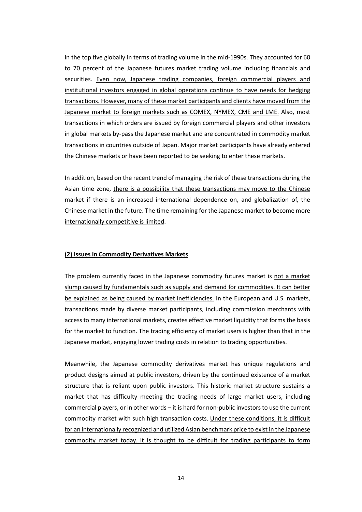in the top five globally in terms of trading volume in the mid-1990s. They accounted for 60 to 70 percent of the Japanese futures market trading volume including financials and securities. Even now, Japanese trading companies, foreign commercial players and institutional investors engaged in global operations continue to have needs for hedging transactions. However, many of these market participants and clients have moved from the Japanese market to foreign markets such as COMEX, NYMEX, CME and LME. Also, most transactions in which orders are issued by foreign commercial players and other investors in global markets by-pass the Japanese market and are concentrated in commodity market transactions in countries outside of Japan. Major market participants have already entered the Chinese markets or have been reported to be seeking to enter these markets.

In addition, based on the recent trend of managing the risk of these transactions during the Asian time zone, there is a possibility that these transactions may move to the Chinese market if there is an increased international dependence on, and globalization of, the Chinese market in the future. The time remaining for the Japanese market to become more internationally competitive is limited.

#### **(2) Issues in Commodity Derivatives Markets**

The problem currently faced in the Japanese commodity futures market is not a market slump caused by fundamentals such as supply and demand for commodities. It can better be explained as being caused by market inefficiencies. In the European and U.S. markets, transactions made by diverse market participants, including commission merchants with accessto many international markets, creates effective market liquidity that forms the basis for the market to function. The trading efficiency of market users is higher than that in the Japanese market, enjoying lower trading costs in relation to trading opportunities.

Meanwhile, the Japanese commodity derivatives market has unique regulations and product designs aimed at public investors, driven by the continued existence of a market structure that is reliant upon public investors. This historic market structure sustains a market that has difficulty meeting the trading needs of large market users, including commercial players, or in other words – it is hard for non-public investors to use the current commodity market with such high transaction costs. Under these conditions, it is difficult for an internationally recognized and utilized Asian benchmark price to exist in the Japanese commodity market today. It is thought to be difficult for trading participants to form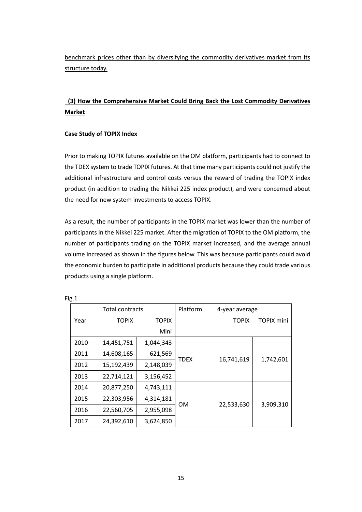benchmark prices other than by diversifying the commodity derivatives market from its structure today.

# **(3) How the Comprehensive Market Could Bring Back the Lost Commodity Derivatives Market**

# **Case Study of TOPIX Index**

Prior to making TOPIX futures available on the OM platform, participants had to connect to the TDEX system to trade TOPIX futures. At that time many participants could not justify the additional infrastructure and control costs versus the reward of trading the TOPIX index product (in addition to trading the Nikkei 225 index product), and were concerned about the need for new system investments to access TOPIX.

As a result, the number of participants in the TOPIX market was lower than the number of participants in the Nikkei 225 market. After the migration of TOPIX to the OM platform, the number of participants trading on the TOPIX market increased, and the average annual volume increased as shown in the figures below. This was because participants could avoid the economic burden to participate in additional products because they could trade various products using a single platform.

| <b>Total contracts</b> |              |              | Platform | 4-year average |                   |
|------------------------|--------------|--------------|----------|----------------|-------------------|
| Year                   | <b>TOPIX</b> | <b>TOPIX</b> |          | <b>TOPIX</b>   | <b>TOPIX mini</b> |
|                        |              | Mini         |          |                |                   |
| 2010                   | 14,451,751   | 1,044,343    | TDEX     | 16,741,619     | 1,742,601         |
| 2011                   | 14,608,165   | 621,569      |          |                |                   |
| 2012                   | 15,192,439   | 2,148,039    |          |                |                   |
| 2013                   | 22,714,121   | 3,156,452    |          |                |                   |
| 2014                   | 20,877,250   | 4,743,111    | OΜ       | 22,533,630     | 3,909,310         |
| 2015                   | 22,303,956   | 4,314,181    |          |                |                   |
| 2016                   | 22,560,705   | 2,955,098    |          |                |                   |
| 2017                   | 24,392,610   | 3,624,850    |          |                |                   |

Fig.1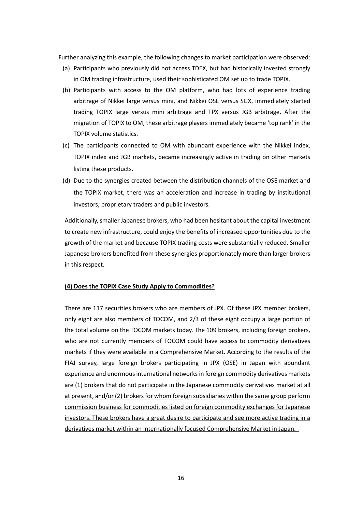Further analyzing this example, the following changes to market participation were observed:

- (a) Participants who previously did not access TDEX, but had historically invested strongly in OM trading infrastructure, used their sophisticated OM set up to trade TOPIX.
- (b) Participants with access to the OM platform, who had lots of experience trading arbitrage of Nikkei large versus mini, and Nikkei OSE versus SGX, immediately started trading TOPIX large versus mini arbitrage and TPX versus JGB arbitrage. After the migration of TOPIX to OM, these arbitrage players immediately became 'top rank' in the TOPIX volume statistics.
- (c) The participants connected to OM with abundant experience with the Nikkei index, TOPIX index and JGB markets, became increasingly active in trading on other markets listing these products.
- (d) Due to the synergies created between the distribution channels of the OSE market and the TOPIX market, there was an acceleration and increase in trading by institutional investors, proprietary traders and public investors.

Additionally, smaller Japanese brokers, who had been hesitant about the capital investment to create new infrastructure, could enjoy the benefits of increased opportunities due to the growth of the market and because TOPIX trading costs were substantially reduced. Smaller Japanese brokers benefited from these synergies proportionately more than larger brokers in this respect.

# **(4) Does the TOPIX Case Study Apply to Commodities?**

There are 117 securities brokers who are members of JPX. Of these JPX member brokers, only eight are also members of TOCOM, and 2/3 of these eight occupy a large portion of the total volume on the TOCOM markets today. The 109 brokers, including foreign brokers, who are not currently members of TOCOM could have access to commodity derivatives markets if they were available in a Comprehensive Market. According to the results of the FIAJ survey, large foreign brokers participating in JPX (OSE) in Japan with abundant experience and enormous international networks in foreign commodity derivatives markets are (1) brokers that do not participate in the Japanese commodity derivatives market at all at present, and/or (2) brokers for whom foreign subsidiaries within the same group perform commission business for commodities listed on foreign commodity exchanges for Japanese investors. These brokers have a great desire to participate and see more active trading in a derivatives market within an internationally focused Comprehensive Market in Japan.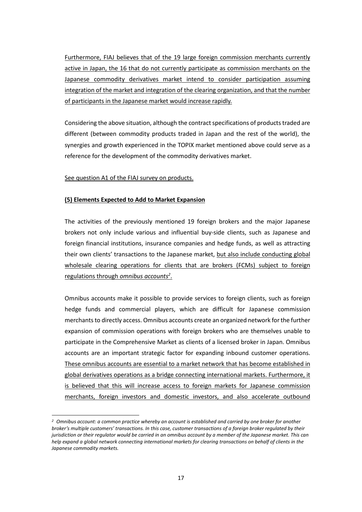Furthermore, FIAJ believes that of the 19 large foreign commission merchants currently active in Japan, the 16 that do not currently participate as commission merchants on the Japanese commodity derivatives market intend to consider participation assuming integration of the market and integration of the clearing organization, and that the number of participants in the Japanese market would increase rapidly.

Considering the above situation, although the contract specifications of products traded are different (between commodity products traded in Japan and the rest of the world), the synergies and growth experienced in the TOPIX market mentioned above could serve as a reference for the development of the commodity derivatives market.

See question A1 of the FIAJ survey on products.

# **(5) Elements Expected to Add to Market Expansion**

The activities of the previously mentioned 19 foreign brokers and the major Japanese brokers not only include various and influential buy-side clients, such as Japanese and foreign financial institutions, insurance companies and hedge funds, as well as attracting their own clients' transactions to the Japanese market, but also include conducting global wholesale clearing operations for clients that are brokers (FCMs) subject to foreign regulations through *omnibus accounts 2* .

Omnibus accounts make it possible to provide services to foreign clients, such as foreign hedge funds and commercial players, which are difficult for Japanese commission merchants to directly access. Omnibus accounts create an organized network for the further expansion of commission operations with foreign brokers who are themselves unable to participate in the Comprehensive Market as clients of a licensed broker in Japan. Omnibus accounts are an important strategic factor for expanding inbound customer operations. These omnibus accounts are essential to a market network that has become established in global derivatives operations as a bridge connecting international markets. Furthermore, it is believed that this will increase access to foreign markets for Japanese commission merchants, foreign investors and domestic investors, and also accelerate outbound

<sup>&</sup>lt;sup>2</sup> Omnibus account: a common practice whereby an account is established and carried by one broker for another broker's multiple customers' transactions. In this case, customer transactions of a foreign broker regulated by their jurisdiction or their regulator would be carried in an omnibus account by a member of the Japanese market. This can help expand a global network connecting international markets for clearing transactions on behalf of clients in the *Japanese commodity markets.*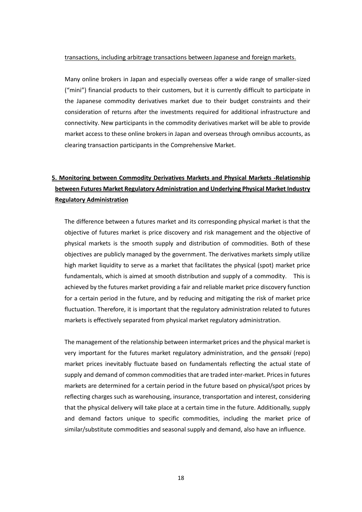#### transactions, including arbitrage transactions between Japanese and foreign markets.

Many online brokers in Japan and especially overseas offer a wide range of smaller-sized ("mini") financial products to their customers, but it is currently difficult to participate in the Japanese commodity derivatives market due to their budget constraints and their consideration of returns after the investments required for additional infrastructure and connectivity. New participants in the commodity derivatives market will be able to provide market access to these online brokers in Japan and overseas through omnibus accounts, as clearing transaction participants in the Comprehensive Market.

# **5. Monitoring between Commodity Derivatives Markets and Physical Markets -Relationship between Futures Market Regulatory Administration and Underlying Physical Market Industry Regulatory Administration**

The difference between a futures market and its corresponding physical market is that the objective of futures market is price discovery and risk management and the objective of physical markets is the smooth supply and distribution of commodities. Both of these objectives are publicly managed by the government. The derivatives markets simply utilize high market liquidity to serve as a market that facilitates the physical (spot) market price fundamentals, which is aimed at smooth distribution and supply of a commodity. This is achieved by the futures market providing a fair and reliable market price discovery function for a certain period in the future, and by reducing and mitigating the risk of market price fluctuation. Therefore, it is important that the regulatory administration related to futures markets is effectively separated from physical market regulatory administration.

The management of the relationship between intermarket prices and the physical market is very important for the futures market regulatory administration, and the *gensaki* (repo) market prices inevitably fluctuate based on fundamentals reflecting the actual state of supply and demand of common commodities that are traded inter-market. Prices in futures markets are determined for a certain period in the future based on physical/spot prices by reflecting charges such as warehousing, insurance, transportation and interest, considering that the physical delivery will take place at a certain time in the future. Additionally, supply and demand factors unique to specific commodities, including the market price of similar/substitute commodities and seasonal supply and demand, also have an influence.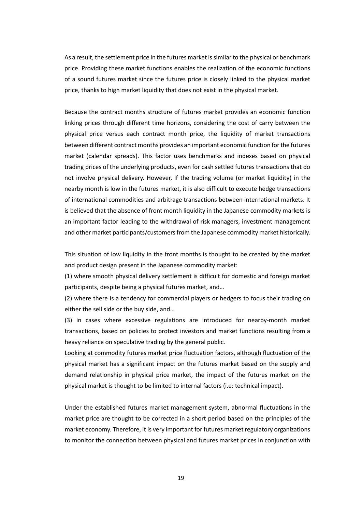As a result, the settlement price in the futures market is similar to the physical or benchmark price. Providing these market functions enables the realization of the economic functions of a sound futures market since the futures price is closely linked to the physical market price, thanks to high market liquidity that does not exist in the physical market.

Because the contract months structure of futures market provides an economic function linking prices through different time horizons, considering the cost of carry between the physical price versus each contract month price, the liquidity of market transactions between different contract months provides an important economic function forthe futures market (calendar spreads). This factor uses benchmarks and indexes based on physical trading prices of the underlying products, even for cash settled futures transactions that do not involve physical delivery. However, if the trading volume (or market liquidity) in the nearby month is low in the futures market, it is also difficult to execute hedge transactions of international commodities and arbitrage transactions between international markets. It is believed that the absence of front month liquidity in the Japanese commodity markets is an important factor leading to the withdrawal of risk managers, investment management and other market participants/customersfrom the Japanese commodity market historically.

This situation of low liquidity in the front months is thought to be created by the market and product design present in the Japanese commodity market:

(1) where smooth physical delivery settlement is difficult for domestic and foreign market participants, despite being a physical futures market, and…

(2) where there is a tendency for commercial players or hedgers to focus their trading on either the sell side or the buy side, and…

(3) in cases where excessive regulations are introduced for nearby-month market transactions, based on policies to protect investors and market functions resulting from a heavy reliance on speculative trading by the general public.

Looking at commodity futures market price fluctuation factors, although fluctuation of the physical market has a significant impact on the futures market based on the supply and demand relationship in physical price market, the impact of the futures market on the physical market is thought to be limited to internal factors (i.e: technical impact).

Under the established futures market management system, abnormal fluctuations in the market price are thought to be corrected in a short period based on the principles of the market economy. Therefore, it is very important for futures market regulatory organizations to monitor the connection between physical and futures market prices in conjunction with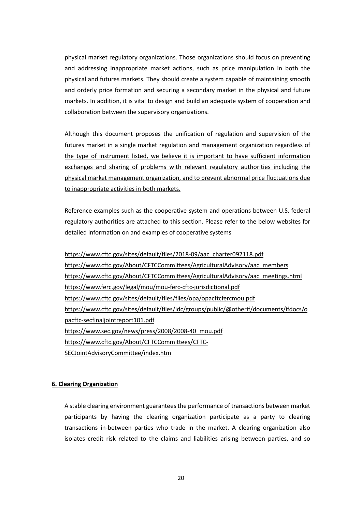physical market regulatory organizations. Those organizations should focus on preventing and addressing inappropriate market actions, such as price manipulation in both the physical and futures markets. They should create a system capable of maintaining smooth and orderly price formation and securing a secondary market in the physical and future markets. In addition, it is vital to design and build an adequate system of cooperation and collaboration between the supervisory organizations.

Although this document proposes the unification of regulation and supervision of the futures market in a single market regulation and management organization regardless of the type of instrument listed, we believe it is important to have sufficient information exchanges and sharing of problems with relevant regulatory authorities including the physical market management organization, and to prevent abnormal price fluctuations due to inappropriate activities in both markets.

Reference examples such as the cooperative system and operations between U.S. federal regulatory authorities are attached to this section. Please refer to the below websites for detailed information on and examples of cooperative systems

https://www.cftc.gov/sites/default/files/2018-09/aac\_charter092118.pdf https://www.cftc.gov/About/CFTCCommittees/AgriculturalAdvisory/aac\_members https://www.cftc.gov/About/CFTCCommittees/AgriculturalAdvisory/aac\_meetings.html https://www.ferc.gov/legal/mou/mou-ferc-cftc-jurisdictional.pdf https://www.cftc.gov/sites/default/files/files/opa/opacftcfercmou.pdf https://www.cftc.gov/sites/default/files/idc/groups/public/@otherif/documents/ifdocs/o pacftc-secfinaljointreport101.pdf https://www.sec.gov/news/press/2008/2008-40\_mou.pdf https://www.cftc.gov/About/CFTCCommittees/CFTC-SECJointAdvisoryCommittee/index.htm

# **6. Clearing Organization**

A stable clearing environment guaranteesthe performance of transactions between market participants by having the clearing organization participate as a party to clearing transactions in-between parties who trade in the market. A clearing organization also isolates credit risk related to the claims and liabilities arising between parties, and so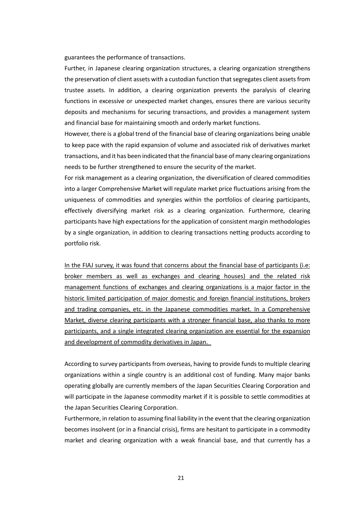guarantees the performance of transactions.

Further, in Japanese clearing organization structures, a clearing organization strengthens the preservation of client assets with a custodian function that segregates client assets from trustee assets. In addition, a clearing organization prevents the paralysis of clearing functions in excessive or unexpected market changes, ensures there are various security deposits and mechanisms for securing transactions, and provides a management system and financial base for maintaining smooth and orderly market functions.

However, there is a global trend of the financial base of clearing organizations being unable to keep pace with the rapid expansion of volume and associated risk of derivatives market transactions, and it has been indicated that the financial base of many clearing organizations needs to be further strengthened to ensure the security of the market.

For risk management as a clearing organization, the diversification of cleared commodities into a larger Comprehensive Market will regulate market price fluctuations arising from the uniqueness of commodities and synergies within the portfolios of clearing participants, effectively diversifying market risk as a clearing organization. Furthermore, clearing participants have high expectations for the application of consistent margin methodologies by a single organization, in addition to clearing transactions netting products according to portfolio risk.

In the FIAJ survey, it was found that concerns about the financial base of participants (i.e: broker members as well as exchanges and clearing houses) and the related risk management functions of exchanges and clearing organizations is a major factor in the historic limited participation of major domestic and foreign financial institutions, brokers and trading companies, etc. in the Japanese commodities market. In a Comprehensive Market, diverse clearing participants with a stronger financial base, also thanks to more participants, and a single integrated clearing organization are essential for the expansion and development of commodity derivatives in Japan.

According to survey participants from overseas, having to provide funds to multiple clearing organizations within a single country is an additional cost of funding. Many major banks operating globally are currently members of the Japan Securities Clearing Corporation and will participate in the Japanese commodity market if it is possible to settle commodities at the Japan Securities Clearing Corporation.

Furthermore, in relation to assuming final liability in the event that the clearing organization becomes insolvent (or in a financial crisis), firms are hesitant to participate in a commodity market and clearing organization with a weak financial base, and that currently has a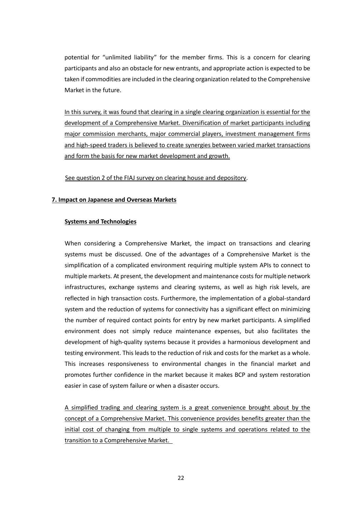potential for "unlimited liability" for the member firms. This is a concern for clearing participants and also an obstacle for new entrants, and appropriate action is expected to be taken if commodities are included in the clearing organization related to the Comprehensive Market in the future.

In this survey, it was found that clearing in a single clearing organization is essential for the development of a Comprehensive Market. Diversification of market participants including major commission merchants, major commercial players, investment management firms and high-speed traders is believed to create synergies between varied market transactions and form the basis for new market development and growth.

See question 2 of the FIAJ survey on clearing house and depository.

### **7. Impact on Japanese and Overseas Markets**

#### **Systems and Technologies**

When considering a Comprehensive Market, the impact on transactions and clearing systems must be discussed. One of the advantages of a Comprehensive Market is the simplification of a complicated environment requiring multiple system APIs to connect to multiple markets. At present, the development and maintenance costsfor multiple network infrastructures, exchange systems and clearing systems, as well as high risk levels, are reflected in high transaction costs. Furthermore, the implementation of a global-standard system and the reduction of systems for connectivity has a significant effect on minimizing the number of required contact points for entry by new market participants. A simplified environment does not simply reduce maintenance expenses, but also facilitates the development of high-quality systems because it provides a harmonious development and testing environment. This leads to the reduction of risk and costs for the market as a whole. This increases responsiveness to environmental changes in the financial market and promotes further confidence in the market because it makes BCP and system restoration easier in case of system failure or when a disaster occurs.

A simplified trading and clearing system is a great convenience brought about by the concept of a Comprehensive Market. This convenience provides benefits greater than the initial cost of changing from multiple to single systems and operations related to the transition to a Comprehensive Market.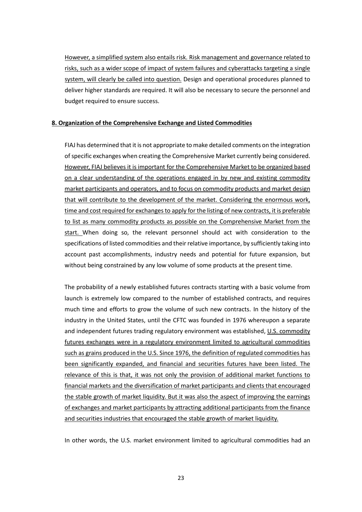However, a simplified system also entails risk. Risk management and governance related to risks, such as a wider scope of impact of system failures and cyberattacks targeting a single system, will clearly be called into question. Design and operational procedures planned to deliver higher standards are required. It will also be necessary to secure the personnel and budget required to ensure success.

# **8. Organization of the Comprehensive Exchange and Listed Commodities**

FIAJ has determined that it is not appropriate to make detailed comments on the integration of specific exchanges when creating the Comprehensive Market currently being considered. However, FIAJ believes it is important for the Comprehensive Market to be organized based on a clear understanding of the operations engaged in by new and existing commodity market participants and operators, and to focus on commodity products and market design that will contribute to the development of the market. Considering the enormous work, time and cost required for exchanges to apply for the listing of new contracts, it is preferable to list as many commodity products as possible on the Comprehensive Market from the start. When doing so, the relevant personnel should act with consideration to the specifications of listed commodities and their relative importance, by sufficiently taking into account past accomplishments, industry needs and potential for future expansion, but without being constrained by any low volume of some products at the present time.

The probability of a newly established futures contracts starting with a basic volume from launch is extremely low compared to the number of established contracts, and requires much time and efforts to grow the volume of such new contracts. In the history of the industry in the United States, until the CFTC was founded in 1976 whereupon a separate and independent futures trading regulatory environment was established, U.S. commodity futures exchanges were in a regulatory environment limited to agricultural commodities such as grains produced in the U.S. Since 1976, the definition of regulated commodities has been significantly expanded, and financial and securities futures have been listed. The relevance of this is that, it was not only the provision of additional market functions to financial markets and the diversification of market participants and clients that encouraged the stable growth of market liquidity. But it was also the aspect of improving the earnings of exchanges and market participants by attracting additional participants from the finance and securities industries that encouraged the stable growth of market liquidity.

In other words, the U.S. market environment limited to agricultural commodities had an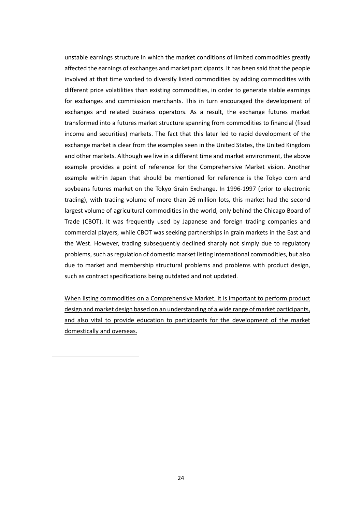unstable earnings structure in which the market conditions of limited commodities greatly affected the earnings of exchanges and market participants. It has been said that the people involved at that time worked to diversify listed commodities by adding commodities with different price volatilities than existing commodities, in order to generate stable earnings for exchanges and commission merchants. This in turn encouraged the development of exchanges and related business operators. As a result, the exchange futures market transformed into a futures market structure spanning from commodities to financial (fixed income and securities) markets. The fact that this later led to rapid development of the exchange market is clear from the examples seen in the United States, the United Kingdom and other markets. Although we live in a different time and market environment, the above example provides a point of reference for the Comprehensive Market vision. Another example within Japan that should be mentioned for reference is the Tokyo corn and soybeans futures market on the Tokyo Grain Exchange. In 1996-1997 (prior to electronic trading), with trading volume of more than 26 million lots, this market had the second largest volume of agricultural commodities in the world, only behind the Chicago Board of Trade (CBOT). It was frequently used by Japanese and foreign trading companies and commercial players, while CBOT was seeking partnerships in grain markets in the East and the West. However, trading subsequently declined sharply not simply due to regulatory problems, such as regulation of domestic market listing international commodities, but also due to market and membership structural problems and problems with product design, such as contract specifications being outdated and not updated.

When listing commodities on a Comprehensive Market, it is important to perform product design and market design based on an understanding of a wide range of market participants, and also vital to provide education to participants for the development of the market domestically and overseas.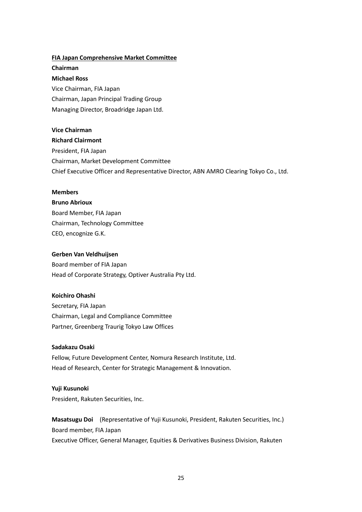# **FIA Japan Comprehensive Market Committee**

**Chairman Michael Ross** Vice Chairman, FIA Japan Chairman, Japan Principal Trading Group Managing Director, Broadridge Japan Ltd.

# **Vice Chairman**

# **Richard Clairmont**

President, FIA Japan Chairman, Market Development Committee Chief Executive Officer and Representative Director, ABN AMRO Clearing Tokyo Co., Ltd.

#### **Members**

**Bruno Abrioux** Board Member, FIA Japan Chairman, Technology Committee CEO, encognize G.K.

### **Gerben Van Veldhuijsen**

Board member of FIA Japan Head of Corporate Strategy, Optiver Australia Pty Ltd.

#### **Koichiro Ohashi**

Secretary, FIA Japan Chairman, Legal and Compliance Committee Partner, Greenberg Traurig Tokyo Law Offices

#### **Sadakazu Osaki**

Fellow, Future Development Center, Nomura Research Institute, Ltd. Head of Research, Center for Strategic Management & Innovation.

#### **Yuji Kusunoki**

President, Rakuten Securities, Inc.

**Masatsugu Doi** (Representative of Yuji Kusunoki, President, Rakuten Securities, Inc.) Board member, FIA Japan Executive Officer, General Manager, Equities & Derivatives Business Division, Rakuten